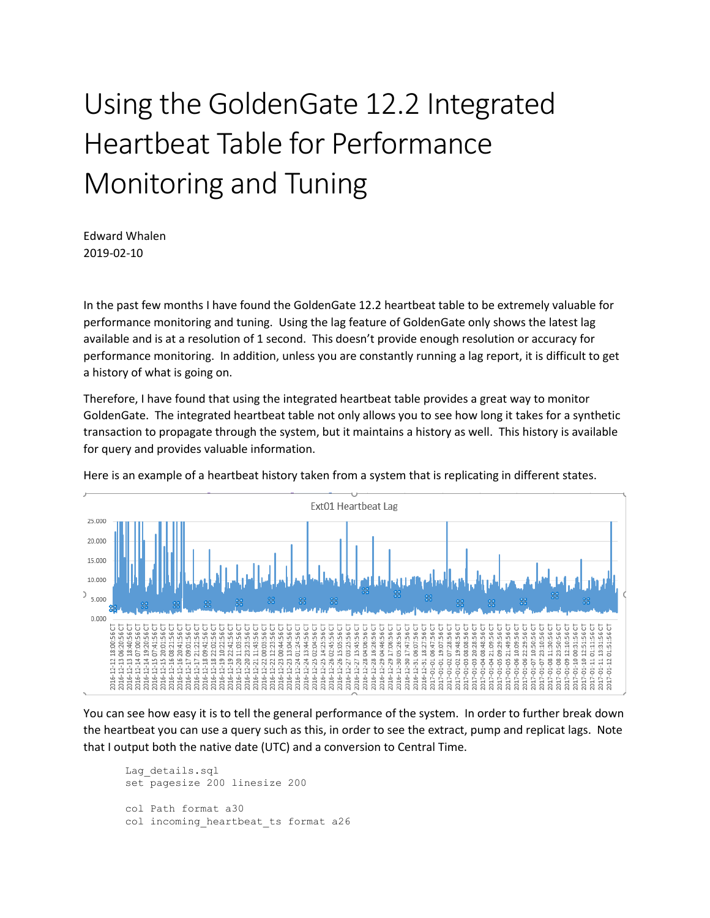## Using the GoldenGate 12.2 Integrated Heartbeat Table for Performance Monitoring and Tuning

Edward Whalen 2019-02-10

In the past few months I have found the GoldenGate 12.2 heartbeat table to be extremely valuable for performance monitoring and tuning. Using the lag feature of GoldenGate only shows the latest lag available and is at a resolution of 1 second. This doesn't provide enough resolution or accuracy for performance monitoring. In addition, unless you are constantly running a lag report, it is difficult to get a history of what is going on.

Therefore, I have found that using the integrated heartbeat table provides a great way to monitor GoldenGate. The integrated heartbeat table not only allows you to see how long it takes for a synthetic transaction to propagate through the system, but it maintains a history as well. This history is available for query and provides valuable information.



Here is an example of a heartbeat history taken from a system that is replicating in different states.

You can see how easy it is to tell the general performance of the system. In order to further break down the heartbeat you can use a query such as this, in order to see the extract, pump and replicat lags. Note that I output both the native date (UTC) and a conversion to Central Time.

```
Lag_details.sql
set pagesize 200 linesize 200
col Path format a30
col incoming_heartbeat_ts format a26
```